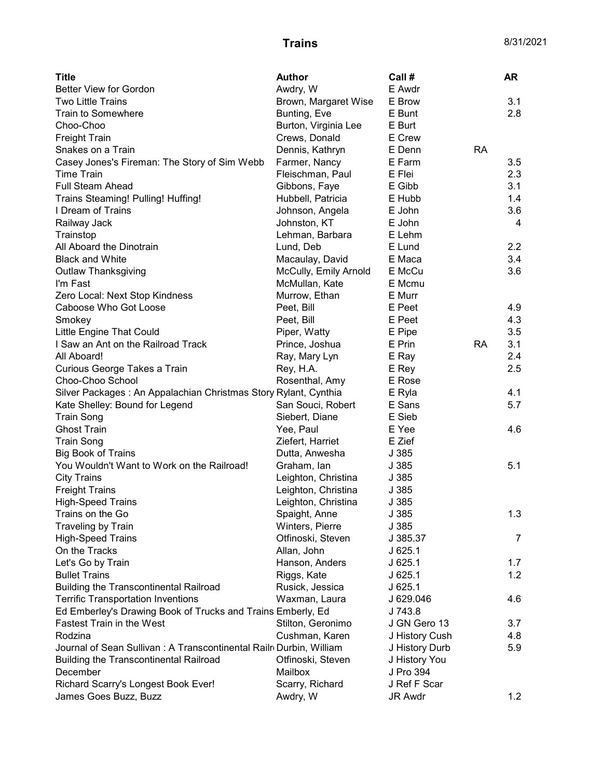| <b>Title</b>                                                       | <b>Author</b>         | Call #                  |           | AR  |
|--------------------------------------------------------------------|-----------------------|-------------------------|-----------|-----|
| <b>Better View for Gordon</b>                                      | Awdry, W              | E Awdr                  |           |     |
| <b>Two Little Trains</b>                                           | Brown, Margaret Wise  | E Brow                  |           | 3.1 |
| Train to Somewhere                                                 | Bunting, Eve          | E Bunt                  |           | 2.8 |
| Choo-Choo                                                          | Burton, Virginia Lee  | E Burt                  |           |     |
| <b>Freight Train</b>                                               | Crews, Donald         | E Crew                  |           |     |
| Snakes on a Train                                                  | Dennis, Kathryn       | E Denn                  | <b>RA</b> |     |
| Casey Jones's Fireman: The Story of Sim Webb                       | Farmer, Nancy         | E Farm                  |           | 3.5 |
| <b>Time Train</b>                                                  | Fleischman, Paul      | E Flei                  |           | 2.3 |
| <b>Full Steam Ahead</b>                                            | Gibbons, Faye         | E Gibb                  |           | 3.1 |
| Trains Steaming! Pulling! Huffing!                                 | Hubbell, Patricia     | E Hubb                  |           | 1.4 |
| I Dream of Trains                                                  | Johnson, Angela       | E John                  |           | 3.6 |
| Railway Jack                                                       | Johnston, KT          | E John                  |           | 4   |
| Trainstop                                                          | Lehman, Barbara       | E Lehm                  |           |     |
| All Aboard the Dinotrain                                           | Lund, Deb             | E Lund                  |           | 2.2 |
| <b>Black and White</b>                                             | Macaulay, David       | E Maca                  |           | 3.4 |
| Outlaw Thanksgiving                                                | McCully, Emily Arnold | E McCu                  |           | 3.6 |
| I'm Fast                                                           | McMullan, Kate        | E Mcmu                  |           |     |
| Zero Local: Next Stop Kindness                                     | Murrow, Ethan         | E Murr                  |           |     |
| Caboose Who Got Loose                                              | Peet, Bill            | E Peet                  |           | 4.9 |
| Smokey                                                             | Peet, Bill            | E Peet                  |           | 4.3 |
| Little Engine That Could                                           | Piper, Watty          | E Pipe                  |           | 3.5 |
| I Saw an Ant on the Railroad Track                                 | Prince, Joshua        | E Prin                  | <b>RA</b> | 3.1 |
| All Aboard!                                                        | Ray, Mary Lyn         | E Ray                   |           | 2.4 |
| Curious George Takes a Train                                       | Rey, H.A.             | E Rey                   |           | 2.5 |
| Choo-Choo School                                                   | Rosenthal, Amy        | E Rose                  |           |     |
| Silver Packages: An Appalachian Christmas Story Rylant, Cynthia    |                       | E Ryla                  |           | 4.1 |
| Kate Shelley: Bound for Legend                                     | San Souci, Robert     | E Sans                  |           | 5.7 |
| <b>Train Song</b>                                                  | Siebert, Diane        | E Sieb                  |           |     |
| <b>Ghost Train</b>                                                 | Yee, Paul             | E Yee                   |           | 4.6 |
| <b>Train Song</b>                                                  | Ziefert, Harriet      | E Zief                  |           |     |
| <b>Big Book of Trains</b>                                          | Dutta, Anwesha        | J 385                   |           |     |
| You Wouldn't Want to Work on the Railroad!                         | Graham, Ian           | J 385                   |           | 5.1 |
| <b>City Trains</b>                                                 | Leighton, Christina   | J 385                   |           |     |
| <b>Freight Trains</b>                                              | Leighton, Christina   | J 385                   |           |     |
| <b>High-Speed Trains</b>                                           | Leighton, Christina   | J 385                   |           |     |
| Trains on the Go                                                   | Spaight, Anne         | J 385                   |           | 1.3 |
| Traveling by Train                                                 | Winters, Pierre       | J 385                   |           |     |
| <b>High-Speed Trains</b>                                           | Otfinoski, Steven     | J 385.37                |           | 7   |
| On the Tracks                                                      | Allan, John           | J625.1                  |           |     |
| Let's Go by Train                                                  | Hanson, Anders        | $J$ 625.1               |           | 1.7 |
| <b>Bullet Trains</b>                                               | Riggs, Kate           | J625.1                  |           | 1.2 |
| <b>Building the Transcontinental Railroad</b>                      |                       | J625.1                  |           |     |
|                                                                    | Rusick, Jessica       |                         |           |     |
| <b>Terrific Transportation Inventions</b>                          | Waxman, Laura         | J 629.046               |           | 4.6 |
| Ed Emberley's Drawing Book of Trucks and Trains Emberly, Ed        |                       | J 743.8<br>J GN Gero 13 |           |     |
| <b>Fastest Train in the West</b>                                   | Stilton, Geronimo     |                         |           | 3.7 |
| Rodzina                                                            | Cushman, Karen        | J History Cush          |           | 4.8 |
| Journal of Sean Sullivan: A Transcontinental Railr Durbin, William |                       | J History Durb          |           | 5.9 |
| <b>Building the Transcontinental Railroad</b>                      | Otfinoski, Steven     | J History You           |           |     |
| December                                                           | Mailbox               | J Pro 394               |           |     |
| Richard Scarry's Longest Book Ever!                                | Scarry, Richard       | J Ref F Scar            |           |     |
| James Goes Buzz, Buzz                                              | Awdry, W              | JR Awdr                 |           | 1.2 |